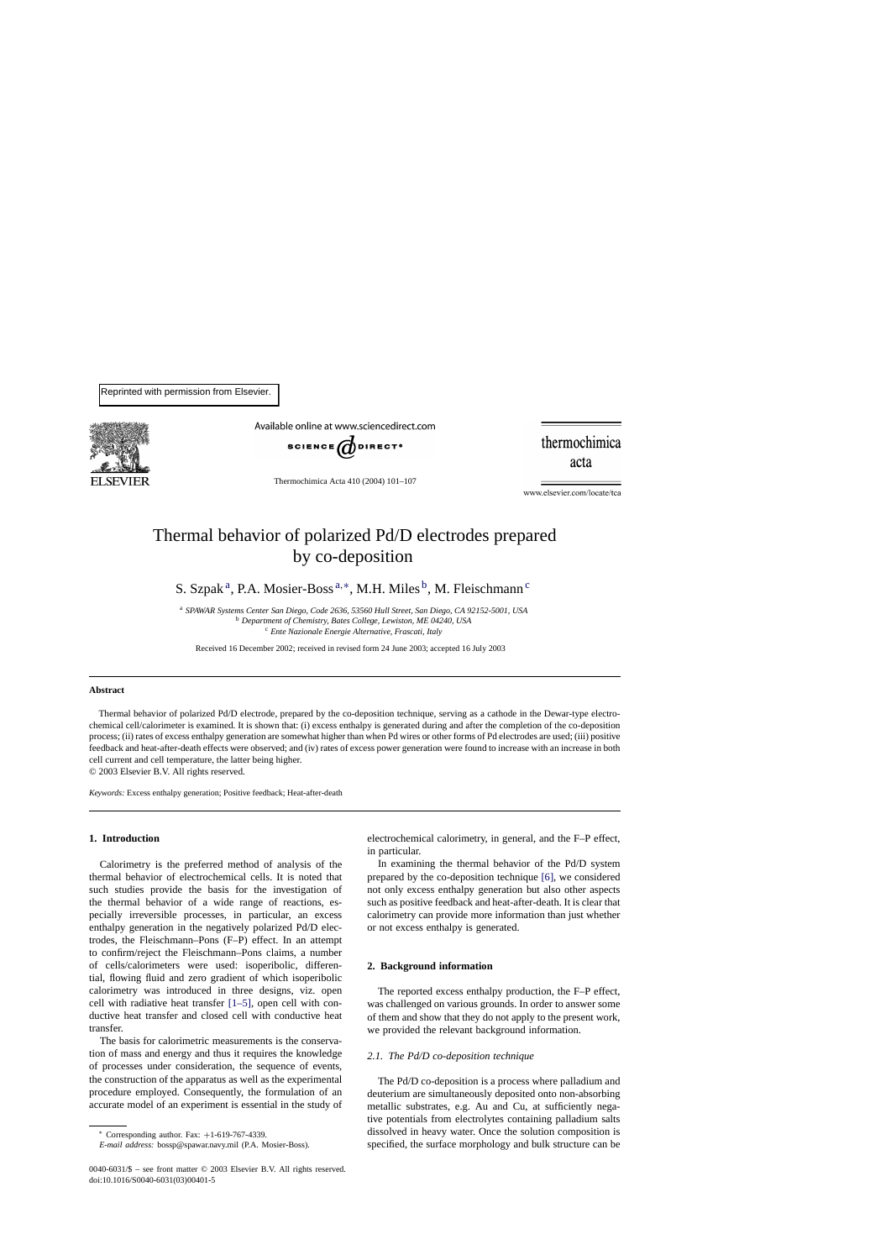

Available online at www.sciencedirect.com



thermochimica acta

Thermochimica Acta 410 (2004) 101–107

www.elsevier.com/locate/tca

# Thermal behavior of polarized Pd/D electrodes prepared by co-deposition

S. Szpak<sup>a</sup>, P.A. Mosier-Boss<sup>a,\*</sup>, M.H. Miles<sup>b</sup>, M. Fleischmann<sup>c</sup>

<sup>a</sup> *SPAWAR Systems Center San Diego, Code 2636, 53560 Hull Street, San Diego, CA 92152-5001, USA* <sup>b</sup> *Department of Chemistry, Bates College, Lewiston, ME 04240, USA* <sup>c</sup> *Ente Nazionale Energie Alternative, Frascati, Italy*

Received 16 December 2002; received in revised form 24 June 2003; accepted 16 July 2003

# **Abstract**

Thermal behavior of polarized Pd/D electrode, prepared by the co-deposition technique, serving as a cathode in the Dewar-type electrochemical cell/calorimeter is examined. It is shown that: (i) excess enthalpy is generated during and after the completion of the co-deposition process; (ii) rates of excess enthalpy generation are somewhat higher than when Pd wires or other forms of Pd electrodes are used; (iii) positive feedback and heat-after-death effects were observed; and (iv) rates of excess power generation were found to increase with an increase in both cell current and cell temperature, the latter being higher.

in particular.

or not excess enthalpy is generated.

**2. Background information**

© 2003 Elsevier B.V. All rights reserved.

*Keywords:* Excess enthalpy generation; Positive feedback; Heat-after-death

## **1. Introduction**

Calorimetry is the preferred method of analysis of the thermal behavior of electrochemical cells. It is noted that such studies provide the basis for the investigation of the thermal behavior of a wide range of reactions, especially irreversible processes, in particular, an excess enthalpy generation in the negatively polarized Pd/D electrodes, the Fleischmann–Pons (F–P) effect. In an attempt to confirm/reject the Fleischmann–Pons claims, a number of cells/calorimeters were used: isoperibolic, differential, flowing fluid and zero gradient of which isoperibolic calorimetry was introduced in three designs, viz. open cell with radiative heat transfer [\[1–5\],](#page-6-0) open cell with conductive heat transfer and closed cell with conductive heat transfer.

The basis for calorimetric measurements is the conservation of mass and energy and thus it requires the knowledge of processes under consideration, the sequence of events, the construction of the apparatus as well as the experimental procedure employed. Consequently, the formulation of an accurate model of an experiment is essential in the study of

The Pd/D co-deposition is a process where palladium and deuterium are simultaneously deposited onto non-absorbing

metallic substrates, e.g. Au and Cu, at sufficiently negative potentials from electrolytes containing palladium salts dissolved in heavy water. Once the solution composition is specified, the surface morphology and bulk structure can be

electrochemical calorimetry, in general, and the F–P effect,

In examining the thermal behavior of the Pd/D system prepared by the co-deposition technique [\[6\],](#page-6-0) we considered not only excess enthalpy generation but also other aspects such as positive feedback and heat-after-death. It is clear that calorimetry can provide more information than just whether

The reported excess enthalpy production, the F–P effect, was challenged on various grounds. In order to answer some of them and show that they do not apply to the present work,

we provided the relevant background information.

*2.1. The Pd/D co-deposition technique*

<sup>∗</sup> Corresponding author. Fax: +1-619-767-4339.

*E-mail address:* bossp@spawar.navy.mil (P.A. Mosier-Boss).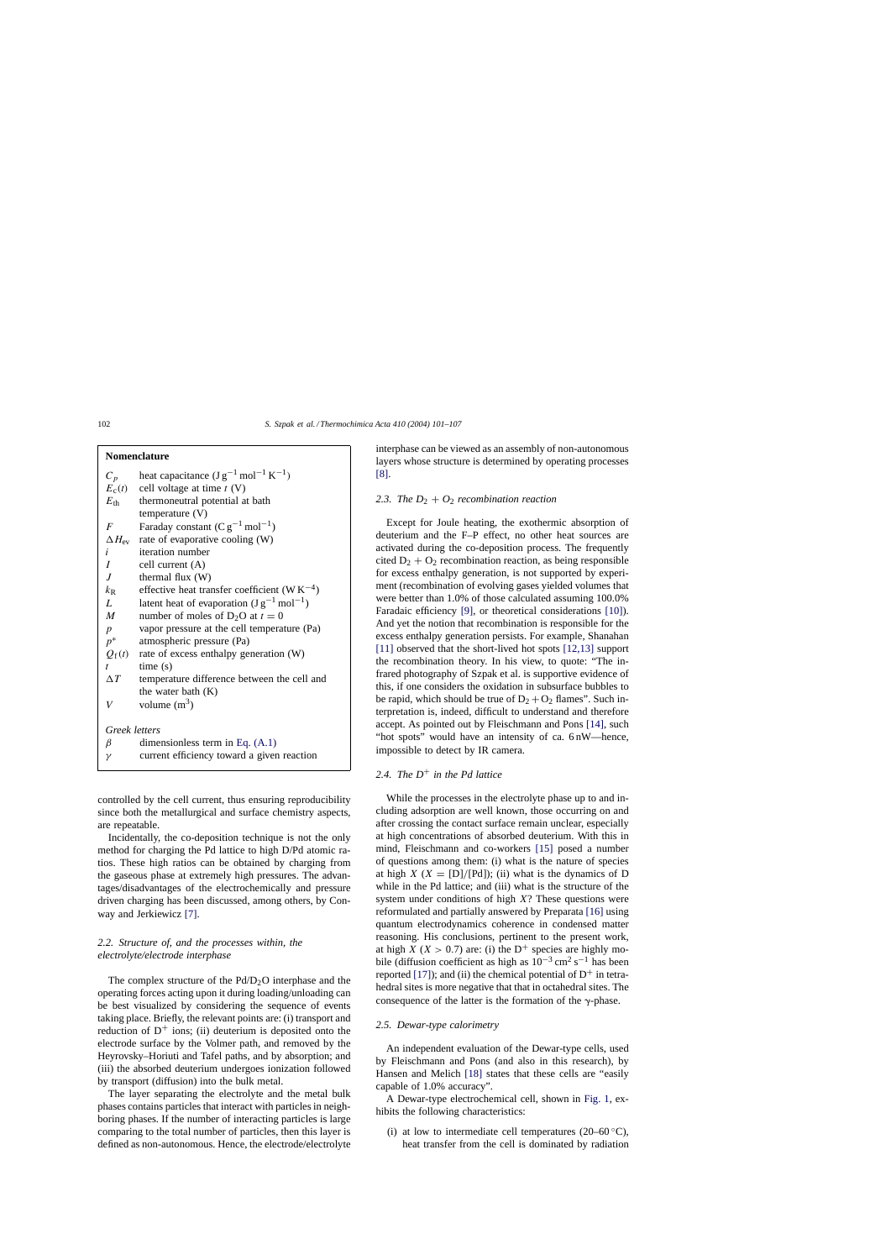| Nomenclature     |                                                         |
|------------------|---------------------------------------------------------|
| $C_p$            | heat capacitance $(Jg^{-1} mol^{-1} K^{-1})$            |
| $E_c(t)$         | cell voltage at time $t(V)$                             |
| $E_{\rm th}$     | thermoneutral potential at bath                         |
|                  | temperature $(V)$                                       |
| $\overline{F}$   | Faraday constant $(Cg^{-1} mol^{-1})$                   |
|                  | $\Delta H_{\text{ev}}$ rate of evaporative cooling (W)  |
| i                | iteration number                                        |
| I                | cell current (A)                                        |
| J                | thermal flux $(W)$                                      |
| $k_{\rm R}$      | effective heat transfer coefficient (WK <sup>-4</sup> ) |
| L                | latent heat of evaporation $(Jg^{-1} mol^{-1})$         |
| $M_{\odot}$      | number of moles of D <sub>2</sub> O at $t = 0$          |
| $\boldsymbol{p}$ | vapor pressure at the cell temperature (Pa)             |
| $p^*$            | atmospheric pressure (Pa)                               |
| $Q_{\rm f}(t)$   | rate of excess enthalpy generation (W)                  |
| $\mathbf{t}$     | time(s)                                                 |
| $\Delta T$       | temperature difference between the cell and             |
|                  | the water bath $(K)$                                    |
| V                | volume $(m^3)$                                          |
|                  |                                                         |
| Greek letters    |                                                         |
| β                | dimensionless term in Eq. $(A.1)$                       |
| $\gamma$         | current efficiency toward a given reaction              |
|                  |                                                         |

controlled by the cell current, thus ensuring reproducibility since both the metallurgical and surface chemistry aspects, are repeatable.

Incidentally, the co-deposition technique is not the only method for charging the Pd lattice to high D/Pd atomic ratios. These high ratios can be obtained by charging from the gaseous phase at extremely high pressures. The advantages/disadvantages of the electrochemically and pressure driven charging has been discussed, among others, by Conway and Jerkiewicz [\[7\].](#page-6-0)

# *2.2. Structure of, and the processes within, the electrolyte/electrode interphase*

The complex structure of the  $Pd/D_2O$  interphase and the operating forces acting upon it during loading/unloading can be best visualized by considering the sequence of events taking place. Briefly, the relevant points are: (i) transport and reduction of  $D^+$  ions; (ii) deuterium is deposited onto the electrode surface by the Volmer path, and removed by the Heyrovsky–Horiuti and Tafel paths, and by absorption; and (iii) the absorbed deuterium undergoes ionization followed by transport (diffusion) into the bulk metal.

The layer separating the electrolyte and the metal bulk phases contains particles that interact with particles in neighboring phases. If the number of interacting particles is large comparing to the total number of particles, then this layer is defined as non-autonomous. Hence, the electrode/electrolyte

interphase can be viewed as an assembly of non-autonomous layers whose structure is determined by operating processes [\[8\].](#page-6-0)

# 2.3. The  $D_2 + O_2$  recombination reaction

Except for Joule heating, the exothermic absorption of deuterium and the F–P effect, no other heat sources are activated during the co-deposition process. The frequently cited  $D_2 + O_2$  recombination reaction, as being responsible for excess enthalpy generation, is not supported by experiment (recombination of evolving gases yielded volumes that were better than 1.0% of those calculated assuming 100.0% Faradaic efficiency [\[9\],](#page-6-0) or theoretical considerations [\[10\]\).](#page-6-0) And yet the notion that recombination is responsible for the excess enthalpy generation persists. For example, Shanahan [\[11\]](#page-6-0) observed that the short-lived hot spots [\[12,13\]](#page-6-0) support the recombination theory. In his view, to quote: "The infrared photography of Szpak et al. is supportive evidence of this, if one considers the oxidation in subsurface bubbles to be rapid, which should be true of  $D_2 + O_2$  flames". Such interpretation is, indeed, difficult to understand and therefore accept. As pointed out by Fleischmann and Pons [\[14\],](#page-6-0) such "hot spots" would have an intensity of ca. 6 nW—hence, impossible to detect by IR camera.

# *2.4. The D*+ *in the Pd lattice*

While the processes in the electrolyte phase up to and including adsorption are well known, those occurring on and after crossing the contact surface remain unclear, especially at high concentrations of absorbed deuterium. With this in mind, Fleischmann and co-workers [\[15\]](#page-6-0) posed a number of questions among them: (i) what is the nature of species at high  $X(X = [D]/[Pd])$ ; (ii) what is the dynamics of D while in the Pd lattice; and (iii) what is the structure of the system under conditions of high  $X$ ? These questions were reformulated and partially answered by Preparata [\[16\]](#page-6-0) using quantum electrodynamics coherence in condensed matter reasoning. His conclusions, pertinent to the present work, at high  $X$  ( $X > 0.7$ ) are: (i) the D<sup>+</sup> species are highly mobile (diffusion coefficient as high as  $10^{-3}$  cm<sup>2</sup> s<sup>-1</sup> has been reported [\[17\]\);](#page-6-0) and (ii) the chemical potential of  $D^+$  in tetrahedral sites is more negative that that in octahedral sites. The consequence of the latter is the formation of the  $\gamma$ -phase.

# *2.5. Dewar-type calorimetry*

An independent evaluation of the Dewar-type cells, used by Fleischmann and Pons (and also in this research), by Hansen and Melich [\[18\]](#page-6-0) states that these cells are "easily capable of 1.0% accuracy".

A Dewar-type electrochemical cell, shown in [Fig. 1,](#page-2-0) exhibits the following characteristics:

(i) at low to intermediate cell temperatures (20–60 $\degree$ C), heat transfer from the cell is dominated by radiation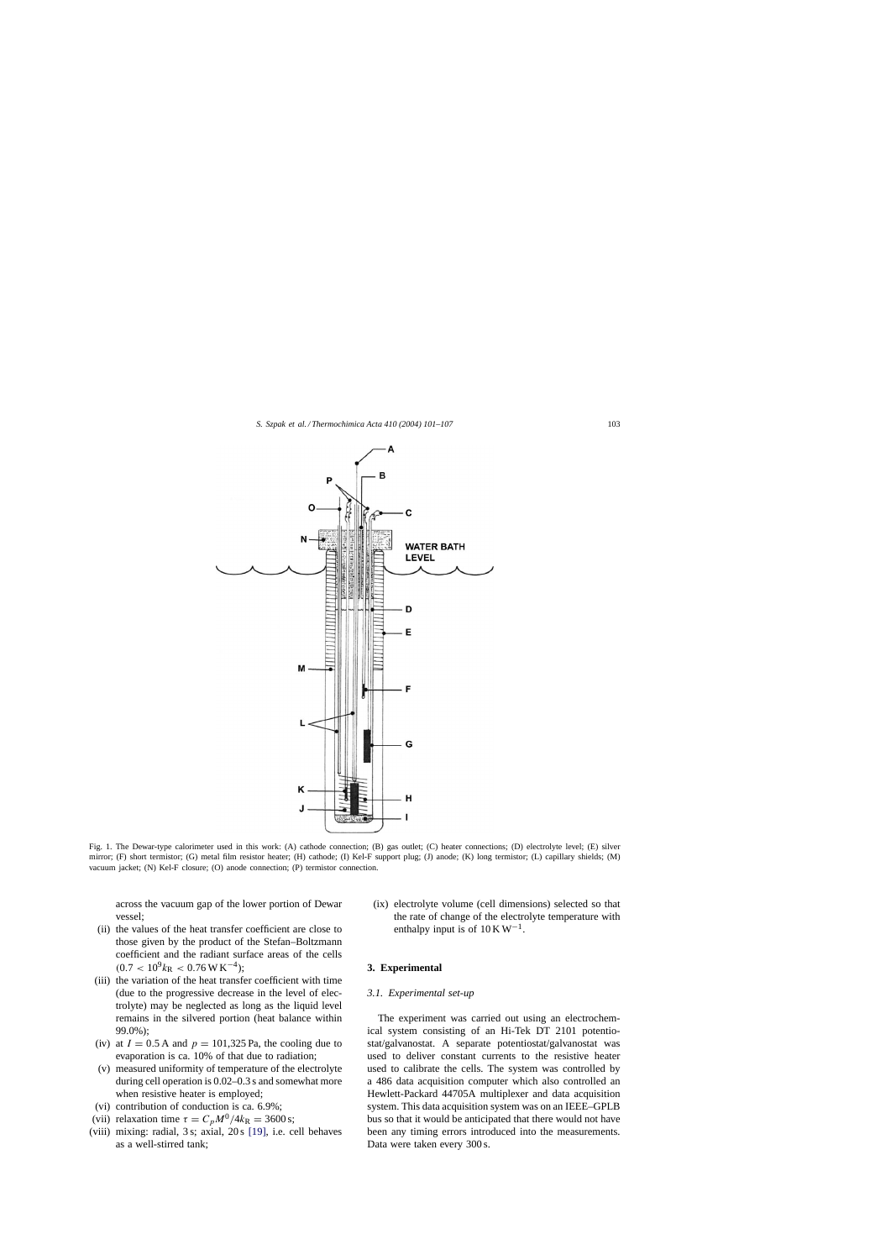<span id="page-2-0"></span>

Fig. 1. The Dewar-type calorimeter used in this work: (A) cathode connection; (B) gas outlet; (C) heater connections; (D) electrolyte level; (E) silver mirror; (F) short termistor; (G) metal film resistor heater; (H) cathode; (I) Kel-F support plug; (J) anode; (K) long termistor; (L) capillary shields; (M) vacuum jacket; (N) Kel-F closure; (O) anode connection; (P) termistor connection.

across the vacuum gap of the lower portion of Dewar vessel;

- (ii) the values of the heat transfer coefficient are close to those given by the product of the Stefan–Boltzmann coefficient and the radiant surface areas of the cells  $(0.7 < 10^9 k_{\rm R} < 0.76 \,\rm W\,K^{-4});$
- (iii) the variation of the heat transfer coefficient with time (due to the progressive decrease in the level of electrolyte) may be neglected as long as the liquid level remains in the silvered portion (heat balance within 99.0%);
- (iv) at  $I = 0.5$  A and  $p = 101,325$  Pa, the cooling due to evaporation is ca. 10% of that due to radiation;
- (v) measured uniformity of temperature of the electrolyte during cell operation is 0.02–0.3 s and somewhat more when resistive heater is employed;
- (vi) contribution of conduction is ca. 6.9%;
- (vii) relaxation time  $\tau = C_p M^0 / 4k_R = 3600 \text{ s};$
- (viii) mixing: radial, 3 s; axial, 20 s [\[19\],](#page-6-0) i.e. cell behaves as a well-stirred tank;

(ix) electrolyte volume (cell dimensions) selected so that the rate of change of the electrolyte temperature with enthalpy input is of  $10 \text{ K W}^{-1}$ .

#### **3. Experimental**

# *3.1. Experimental set-up*

The experiment was carried out using an electrochemical system consisting of an Hi-Tek DT 2101 potentiostat/galvanostat. A separate potentiostat/galvanostat was used to deliver constant currents to the resistive heater used to calibrate the cells. The system was controlled by a 486 data acquisition computer which also controlled an Hewlett-Packard 44705A multiplexer and data acquisition system. This data acquisition system was on an IEEE–GPLB bus so that it would be anticipated that there would not have been any timing errors introduced into the measurements. Data were taken every 300 s.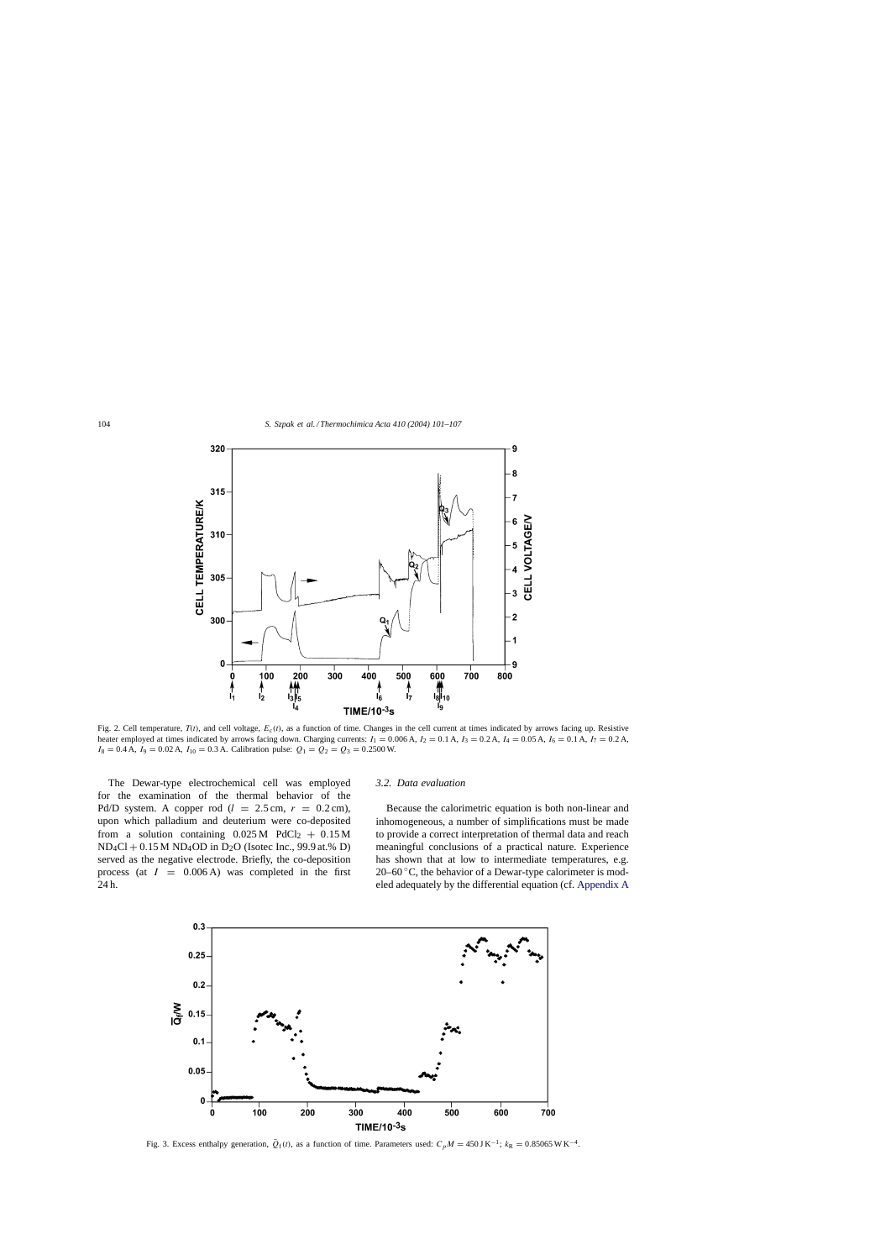<span id="page-3-0"></span>

Fig. 2. Cell temperature,  $T(t)$ , and cell voltage,  $E_c(t)$ , as a function of time. Changes in the cell current at times indicated by arrows facing up. Resistive heater employed at times indicated by arrows facing down. Charging currents:  $I_1 = 0.006$  A,  $I_2 = 0.1$  A,  $I_3 = 0.2$  A,  $I_4 = 0.05$  A,  $I_6 = 0.1$  A,  $I_7 = 0.2$  A,  $I_8 = 0.4$  A,  $I_9 = 0.02$  A,  $I_{10} = 0.3$  A. Calibration pulse:  $Q_1 = Q_2 = Q_3 = 0.2500$  W.

The Dewar-type electrochemical cell was employed for the examination of the thermal behavior of the Pd/D system. A copper rod ( $l = 2.5$  cm,  $r = 0.2$  cm), upon which palladium and deuterium were co-deposited from a solution containing  $0.025 \text{ M}$  PdCl<sub>2</sub> +  $0.15 \text{ M}$  $ND_4Cl + 0.15 M ND_4OD$  in  $D_2O$  (Isotec Inc., 99.9 at.% D) served as the negative electrode. Briefly, the co-deposition process (at  $I = 0.006$  A) was completed in the first 24 h.

#### *3.2. Data evaluation*

Because the calorimetric equation is both non-linear and inhomogeneous, a number of simplifications must be made to provide a correct interpretation of thermal data and reach meaningful conclusions of a practical nature. Experience has shown that at low to intermediate temperatures, e.g. 20–60 $\degree$ C, the behavior of a Dewar-type calorimeter is modeled adequately by the differential equation (cf. [Appendix A](#page-6-0)



Fig. 3. Excess enthalpy generation,  $\bar{Q}_f(t)$ , as a function of time. Parameters used:  $C_pM = 450 \text{ J K}^{-1}$ ;  $k_R = 0.85065 \text{ W K}^{-4}$ .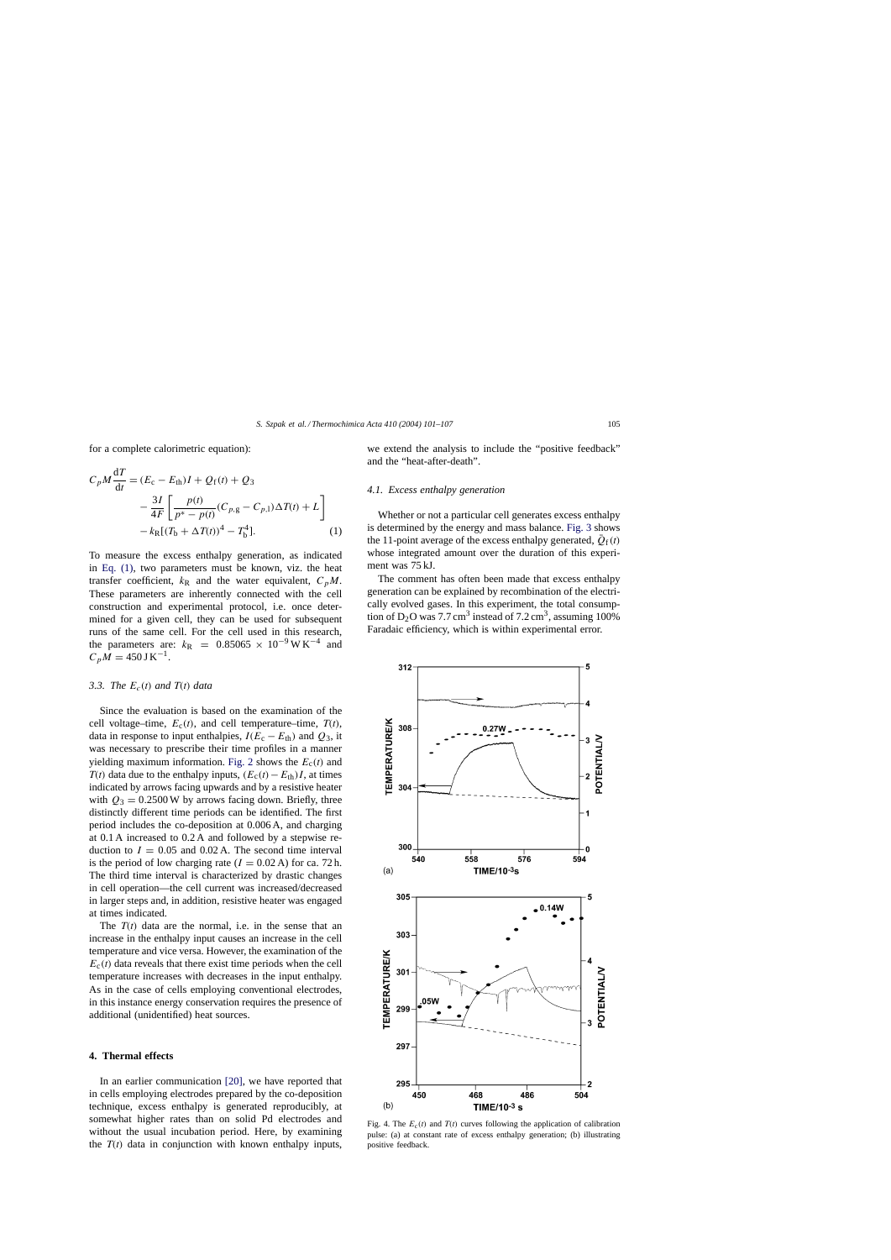<span id="page-4-0"></span>for a complete calorimetric equation):

$$
C_p M \frac{dT}{dt} = (E_c - E_{th})I + Q_f(t) + Q_3
$$
  

$$
- \frac{3I}{4F} \left[ \frac{p(t)}{p^* - p(t)} (C_{p,g} - C_{p,1}) \Delta T(t) + L \right]
$$
  

$$
- k_R [(T_b + \Delta T(t))^4 - T_b^4].
$$
 (1)

To measure the excess enthalpy generation, as indicated in Eq. (1), two parameters must be known, viz. the heat transfer coefficient,  $k_R$  and the water equivalent,  $C_pM$ . These parameters are inherently connected with the cell construction and experimental protocol, i.e. once determined for a given cell, they can be used for subsequent runs of the same cell. For the cell used in this research, the parameters are:  $k_R$  = 0.85065 × 10<sup>-9</sup> W K<sup>-4</sup> and  $C_pM = 450$  J K<sup>-1</sup>.

#### *3.3. The*  $E_c(t)$  *and*  $T(t)$  *data*

Since the evaluation is based on the examination of the cell voltage–time,  $E_c(t)$ , and cell temperature–time,  $T(t)$ , data in response to input enthalpies,  $I(E_c - E_{th})$  and  $Q_3$ , it was necessary to prescribe their time profiles in a manner yielding maximum information. [Fig. 2](#page-3-0) shows the  $E_c(t)$  and  $T(t)$  data due to the enthalpy inputs,  $(E_c(t)-E_{th})I$ , at times indicated by arrows facing upwards and by a resistive heater with  $Q_3 = 0.2500$  W by arrows facing down. Briefly, three distinctly different time periods can be identified. The first period includes the co-deposition at 0.006 A, and charging at 0.1 A increased to 0.2 A and followed by a stepwise reduction to  $I = 0.05$  and  $0.02$  A. The second time interval is the period of low charging rate  $(I = 0.02 \text{ A})$  for ca. 72 h. The third time interval is characterized by drastic changes in cell operation—the cell current was increased/decreased in larger steps and, in addition, resistive heater was engaged at times indicated.

The  $T(t)$  data are the normal, i.e. in the sense that an increase in the enthalpy input causes an increase in the cell temperature and vice versa. However, the examination of the  $E_c(t)$  data reveals that there exist time periods when the cell temperature increases with decreases in the input enthalpy. As in the case of cells employing conventional electrodes, in this instance energy conservation requires the presence of additional (unidentified) heat sources.

#### **4. Thermal effects**

In an earlier communication [\[20\],](#page-6-0) we have reported that in cells employing electrodes prepared by the co-deposition technique, excess enthalpy is generated reproducibly, at somewhat higher rates than on solid Pd electrodes and without the usual incubation period. Here, by examining the  $T(t)$  data in conjunction with known enthalpy inputs,

we extend the analysis to include the "positive feedback" and the "heat-after-death".

## *4.1. Excess enthalpy generation*

Whether or not a particular cell generates excess enthalpy is determined by the energy and mass balance. [Fig. 3](#page-3-0) shows the 11-point average of the excess enthalpy generated,  $\overline{Q}_{f}(t)$ whose integrated amount over the duration of this experiment was 75 kJ.

The comment has often been made that excess enthalpy generation can be explained by recombination of the electrically evolved gases. In this experiment, the total consumption of  $D_2O$  was 7.7 cm<sup>3</sup> instead of 7.2 cm<sup>3</sup>, assuming 100% Faradaic efficiency, which is within experimental error.



Fig. 4. The  $E_c(t)$  and  $T(t)$  curves following the application of calibration pulse: (a) at constant rate of excess enthalpy generation; (b) illustrating positive feedback.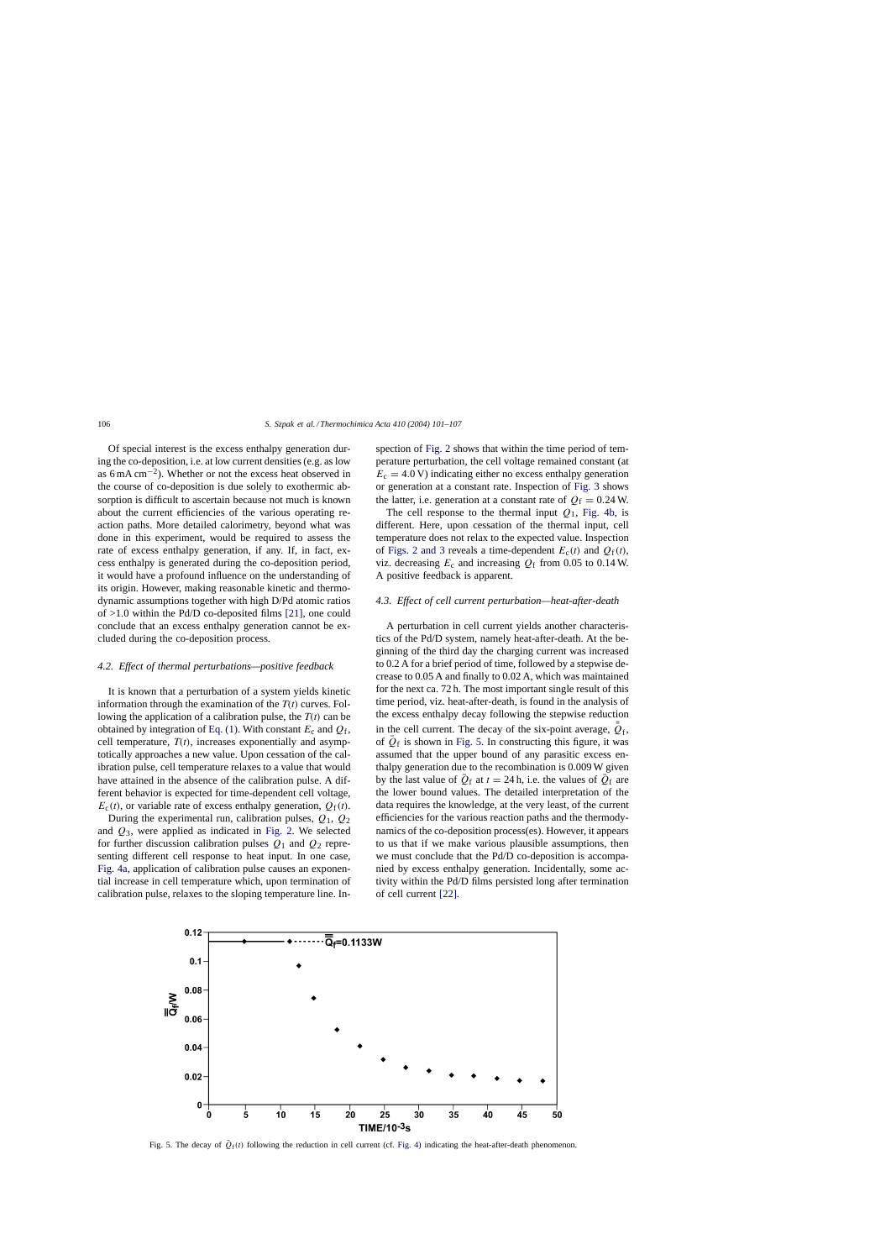Of special interest is the excess enthalpy generation during the co-deposition, i.e. at low current densities (e.g. as low as 6 mA cm<sup> $-2$ </sup>). Whether or not the excess heat observed in the course of co-deposition is due solely to exothermic absorption is difficult to ascertain because not much is known about the current efficiencies of the various operating reaction paths. More detailed calorimetry, beyond what was done in this experiment, would be required to assess the rate of excess enthalpy generation, if any. If, in fact, excess enthalpy is generated during the co-deposition period, it would have a profound influence on the understanding of its origin. However, making reasonable kinetic and thermodynamic assumptions together with high D/Pd atomic ratios of >1.0 within the Pd/D co-deposited films [\[21\],](#page-6-0) one could conclude that an excess enthalpy generation cannot be excluded during the co-deposition process.

#### *4.2. Effect of thermal perturbations—positive feedback*

It is known that a perturbation of a system yields kinetic information through the examination of the  $T(t)$  curves. Following the application of a calibration pulse, the  $T(t)$  can be obtained by integration of [Eq. \(1\). W](#page-4-0)ith constant  $E_c$  and  $Q_f$ , cell temperature,  $T(t)$ , increases exponentially and asymptotically approaches a new value. Upon cessation of the calibration pulse, cell temperature relaxes to a value that would have attained in the absence of the calibration pulse. A different behavior is expected for time-dependent cell voltage,  $E_c(t)$ , or variable rate of excess enthalpy generation,  $Q_f(t)$ .

During the experimental run, calibration pulses,  $Q_1$ ,  $Q_2$ and  $Q_3$ , were applied as indicated in [Fig. 2.](#page-3-0) We selected for further discussion calibration pulses  $Q_1$  and  $Q_2$  representing different cell response to heat input. In one case, [Fig. 4a, a](#page-4-0)pplication of calibration pulse causes an exponential increase in cell temperature which, upon termination of calibration pulse, relaxes to the sloping temperature line. Inspection of [Fig. 2](#page-3-0) shows that within the time period of temperature perturbation, the cell voltage remained constant (at  $E_c = 4.0 \text{ V}$ ) indicating either no excess enthalpy generation or generation at a constant rate. Inspection of [Fig. 3](#page-3-0) shows the latter, i.e. generation at a constant rate of  $Q_f = 0.24$  W.

The cell response to the thermal input  $Q_1$ , [Fig. 4b,](#page-4-0) is different. Here, upon cessation of the thermal input, cell temperature does not relax to the expected value. Inspection of [Figs. 2 and 3](#page-3-0) reveals a time-dependent  $E_c(t)$  and  $Q_f(t)$ , viz. decreasing  $E_c$  and increasing  $Q_f$  from 0.05 to 0.14 W. A positive feedback is apparent.

#### *4.3. Effect of cell current perturbation—heat-after-death*

A perturbation in cell current yields another characteristics of the Pd/D system, namely heat-after-death. At the beginning of the third day the charging current was increased to 0.2 A for a brief period of time, followed by a stepwise decrease to 0.05 A and finally to 0.02 A, which was maintained for the next ca. 72 h. The most important single result of this time period, viz. heat-after-death, is found in the analysis of the excess enthalpy decay following the stepwise reduction in the cell current. The decay of the six-point average,  $\overline{Q}_f$ , of  $\overline{Q}_f$  is shown in Fig. 5. In constructing this figure, it was assumed that the upper bound of any parasitic excess enthalpy generation due to the recombination is 0.009 W given by the last value of  $\overline{Q}_f$  at  $t = 24$  h, i.e. the values of  $\overline{Q}_f$  are the lower bound values. The detailed interpretation of the data requires the knowledge, at the very least, of the current efficiencies for the various reaction paths and the thermodynamics of the co-deposition process(es). However, it appears to us that if we make various plausible assumptions, then we must conclude that the Pd/D co-deposition is accompanied by excess enthalpy generation. Incidentally, some activity within the Pd/D films persisted long after termination of cell current [\[22\].](#page-6-0)



Fig. 5. The decay of  $\bar{Q}_{\rm f}(t)$  following the reduction in cell current (cf. [Fig. 4\)](#page-4-0) indicating the heat-after-death phenomenon.